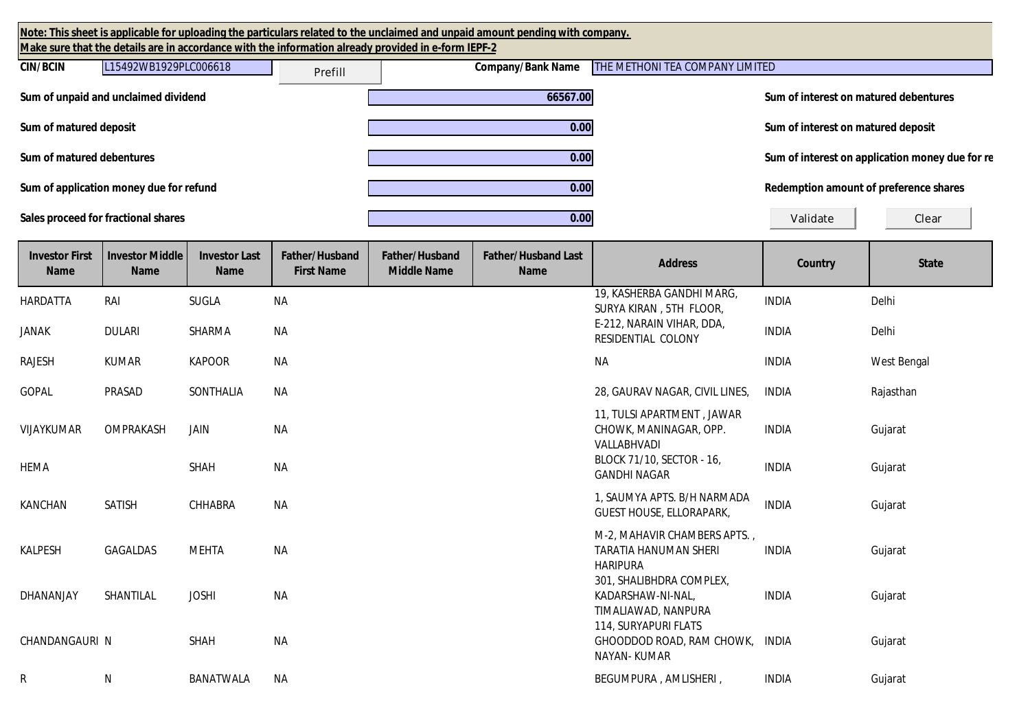| Note: This sheet is applicable for uploading the particulars related to the unclaimed and unpaid amount pending with company.<br>Make sure that the details are in accordance with the information already provided in e-form IEPF-2 |                                                                                                 |                                     |                                     |                                      |                                           |                                                                                 |                                       |                                                 |
|--------------------------------------------------------------------------------------------------------------------------------------------------------------------------------------------------------------------------------------|-------------------------------------------------------------------------------------------------|-------------------------------------|-------------------------------------|--------------------------------------|-------------------------------------------|---------------------------------------------------------------------------------|---------------------------------------|-------------------------------------------------|
| <b>CIN/BCIN</b>                                                                                                                                                                                                                      | THE METHONI TEA COMPANY LIMITED<br>L15492WB1929PLC006618<br><b>Company/Bank Name</b><br>Prefill |                                     |                                     |                                      |                                           |                                                                                 |                                       |                                                 |
|                                                                                                                                                                                                                                      | Sum of unpaid and unclaimed dividend                                                            |                                     |                                     |                                      | 66567.00                                  |                                                                                 | Sum of interest on matured debentures |                                                 |
| Sum of matured deposit                                                                                                                                                                                                               |                                                                                                 |                                     |                                     |                                      | $\overline{0.00}$                         |                                                                                 | Sum of interest on matured deposit    |                                                 |
| Sum of matured debentures                                                                                                                                                                                                            |                                                                                                 |                                     |                                     |                                      | $\overline{0.00}$                         |                                                                                 |                                       | Sum of interest on application money due for re |
|                                                                                                                                                                                                                                      | Sum of application money due for refund                                                         |                                     |                                     |                                      | 0.00                                      |                                                                                 |                                       | Redemption amount of preference shares          |
| Sales proceed for fractional shares                                                                                                                                                                                                  |                                                                                                 |                                     |                                     |                                      | 0.00                                      |                                                                                 | Validate                              | Clear                                           |
| <b>Investor First</b><br><b>Name</b>                                                                                                                                                                                                 | <b>Investor Middle</b><br><b>Name</b>                                                           | <b>Investor Last</b><br><b>Name</b> | Father/Husband<br><b>First Name</b> | Father/Husband<br><b>Middle Name</b> | <b>Father/Husband Last</b><br><b>Name</b> | <b>Address</b>                                                                  | Country                               | <b>State</b>                                    |
| HARDATTA                                                                                                                                                                                                                             | RAI                                                                                             | <b>SUGLA</b>                        | <b>NA</b>                           |                                      |                                           | 19, KASHERBA GANDHI MARG,<br>SURYA KIRAN, 5TH FLOOR,                            | <b>INDIA</b>                          | Delhi                                           |
| <b>JANAK</b>                                                                                                                                                                                                                         | <b>DULARI</b>                                                                                   | SHARMA                              | <b>NA</b>                           |                                      |                                           | E-212, NARAIN VIHAR, DDA,<br>RESIDENTIAL COLONY                                 | <b>INDIA</b>                          | Delhi                                           |
| <b>RAJESH</b>                                                                                                                                                                                                                        | <b>KUMAR</b>                                                                                    | <b>KAPOOR</b>                       | <b>NA</b>                           |                                      |                                           | <b>NA</b>                                                                       | <b>INDIA</b>                          | <b>West Bengal</b>                              |
| <b>GOPAL</b>                                                                                                                                                                                                                         | PRASAD                                                                                          | SONTHALIA                           | NА                                  |                                      |                                           | 28, GAURAV NAGAR, CIVIL LINES,                                                  | <b>INDIA</b>                          | Rajasthan                                       |
| VIJAYKUMAR                                                                                                                                                                                                                           | OMPRAKASH                                                                                       | JAIN                                | <b>NA</b>                           |                                      |                                           | 11, TULSI APARTMENT, JAWAR<br>CHOWK, MANINAGAR, OPP.<br>VALLABHVADI             | <b>INDIA</b>                          | Gujarat                                         |
| <b>HEMA</b>                                                                                                                                                                                                                          |                                                                                                 | <b>SHAH</b>                         | <b>NA</b>                           |                                      |                                           | BLOCK 71/10, SECTOR - 16,<br><b>GANDHI NAGAR</b>                                | <b>INDIA</b>                          | Gujarat                                         |
| <b>KANCHAN</b>                                                                                                                                                                                                                       | <b>SATISH</b>                                                                                   | CHHABRA                             | <b>NA</b>                           |                                      |                                           | 1, SAUMYA APTS. B/H NARMADA<br><b>GUEST HOUSE, ELLORAPARK,</b>                  | <b>INDIA</b>                          | Gujarat                                         |
| <b>KALPESH</b>                                                                                                                                                                                                                       | <b>GAGALDAS</b>                                                                                 | <b>MEHTA</b>                        | <b>NA</b>                           |                                      |                                           | M-2, MAHAVIR CHAMBERS APTS.,<br><b>TARATIA HANUMAN SHERI</b><br><b>HARIPURA</b> | <b>INDIA</b>                          | Gujarat                                         |

R N BANATWALA NA BANATWALA NA BEGUMPURA , AMLISHERI , INDIA Gujarat

301, SHALIBHDRA COMPLEX, KADARSHAW-NI-NAL, TIMALIAWAD, NANPURA

GHOODDOD ROAD, RAM CHOWK,

114, SURYAPURI FLATS

NAYAN- KUMAR

INDIA Gujarat

Gujarat

DHANANJAY SHANTILAL JOSHI NA

CHANDANGAURI N SHAH NA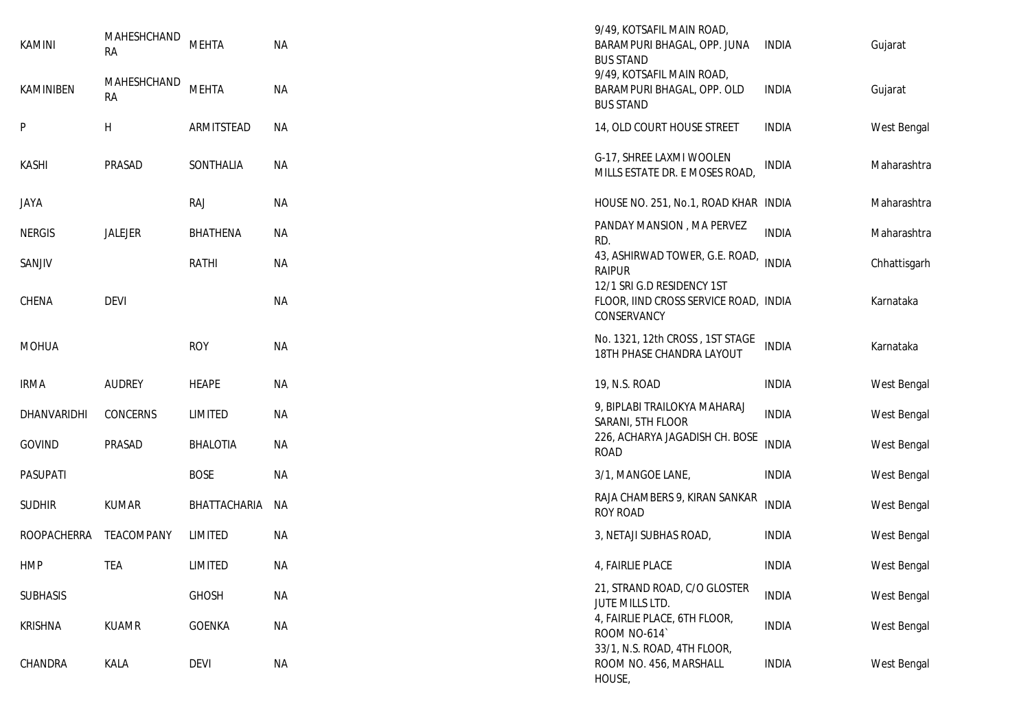| KAMINI             | MAHESHCHAND<br><b>RA</b> | <b>MEHTA</b>    | <b>NA</b> | 9/49, KOTSAFIL MAIN ROAD,<br>BARAMPURI BHAGAL, OPP. JUNA<br><b>BUS STAND</b>       | <b>INDIA</b> | Gujarat      |
|--------------------|--------------------------|-----------------|-----------|------------------------------------------------------------------------------------|--------------|--------------|
| KAMINIBEN          | MAHESHCHAND<br><b>RA</b> | <b>MEHTA</b>    | NA        | 9/49, KOTSAFIL MAIN ROAD,<br>BARAMPURI BHAGAL, OPP. OLD<br><b>BUS STAND</b>        | <b>INDIA</b> | Gujarat      |
| P                  | H                        | ARMITSTEAD      | <b>NA</b> | 14, OLD COURT HOUSE STREET                                                         | <b>INDIA</b> | West Bengal  |
| <b>KASHI</b>       | PRASAD                   | SONTHALIA       | NА        | G-17, SHREE LAXMI WOOLEN<br>MILLS ESTATE DR. E MOSES ROAD,                         | <b>INDIA</b> | Maharashtra  |
| JAYA               |                          | <b>RAJ</b>      | <b>NA</b> | HOUSE NO. 251, No.1, ROAD KHAR INDIA                                               |              | Maharashtra  |
| <b>NERGIS</b>      | JALEJER                  | <b>BHATHENA</b> | NА        | PANDAY MANSION, MA PERVEZ<br>RD.                                                   | <b>INDIA</b> | Maharashtra  |
| SANJIV             |                          | <b>RATHI</b>    | NA        | 43, ASHIRWAD TOWER, G.E. ROAD,<br><b>RAIPUR</b>                                    | <b>INDIA</b> | Chhattisgarh |
| CHENA              | <b>DEVI</b>              |                 | <b>NA</b> | 12/1 SRI G.D RESIDENCY 1ST<br>FLOOR, IIND CROSS SERVICE ROAD, INDIA<br>CONSERVANCY |              | Karnataka    |
| <b>MOHUA</b>       |                          | <b>ROY</b>      | <b>NA</b> | No. 1321, 12th CROSS, 1ST STAGE<br>18TH PHASE CHANDRA LAYOUT                       | <b>INDIA</b> | Karnataka    |
| <b>IRMA</b>        | <b>AUDREY</b>            | <b>HEAPE</b>    | <b>NA</b> | 19, N.S. ROAD                                                                      | <b>INDIA</b> | West Bengal  |
| DHANVARIDHI        | CONCERNS                 | LIMITED         | <b>NA</b> | 9, BIPLABI TRAILOKYA MAHARAJ<br>SARANI, 5TH FLOOR                                  | <b>INDIA</b> | West Bengal  |
| GOVIND             | PRASAD                   | <b>BHALOTIA</b> | NА        | 226, ACHARYA JAGADISH CH. BOSE<br><b>ROAD</b>                                      | <b>INDIA</b> | West Bengal  |
| PASUPATI           |                          | <b>BOSE</b>     | <b>NA</b> | 3/1, MANGOE LANE,                                                                  | <b>INDIA</b> | West Bengal  |
| <b>SUDHIR</b>      | <b>KUMAR</b>             | BHATTACHARIA    | NA        | RAJA CHAMBERS 9, KIRAN SANKAR<br><b>ROY ROAD</b>                                   | <b>INDIA</b> | West Bengal  |
| <b>ROOPACHERRA</b> | TEACOMPANY               | LIMITED         | <b>NA</b> | 3, NETAJI SUBHAS ROAD,                                                             | <b>INDIA</b> | West Bengal  |
| <b>HMP</b>         | TEA                      | LIMITED         | ΝA        | 4, FAIRLIE PLACE                                                                   | <b>INDIA</b> | West Bengal  |
| <b>SUBHASIS</b>    |                          | <b>GHOSH</b>    | <b>NA</b> | 21, STRAND ROAD, C/O GLOSTER<br>JUTE MILLS LTD.                                    | <b>INDIA</b> | West Bengal  |
| <b>KRISHNA</b>     | <b>KUAMR</b>             | GOENKA          | <b>NA</b> | 4, FAIRLIE PLACE, 6TH FLOOR,<br>ROOM NO-614                                        | <b>INDIA</b> | West Bengal  |
| CHANDRA            | KALA                     | <b>DEVI</b>     | <b>NA</b> | 33/1, N.S. ROAD, 4TH FLOOR,<br>ROOM NO. 456, MARSHALL<br>HOUSE,                    | <b>INDIA</b> | West Bengal  |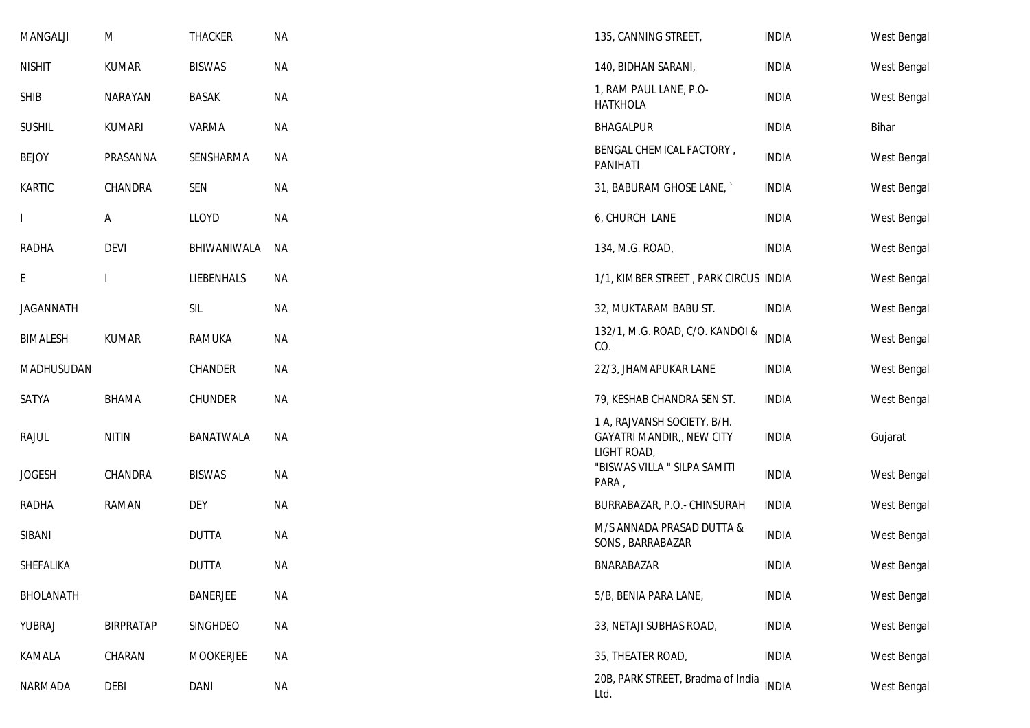| MANGALJI         | M             | <b>THACKER</b>  | <b>NA</b> | 135, CANNING STREET,                                                           | <b>INDIA</b> | West Bengal |
|------------------|---------------|-----------------|-----------|--------------------------------------------------------------------------------|--------------|-------------|
| <b>NISHIT</b>    | <b>KUMAR</b>  | <b>BISWAS</b>   | <b>NA</b> | 140, BIDHAN SARANI,                                                            | <b>INDIA</b> | West Bengal |
| <b>SHIB</b>      | NARAYAN       | <b>BASAK</b>    | <b>NA</b> | 1, RAM PAUL LANE, P.O-<br><b>HATKHOLA</b>                                      | <b>INDIA</b> | West Bengal |
| <b>SUSHIL</b>    | <b>KUMARI</b> | VARMA           | <b>NA</b> | BHAGALPUR                                                                      | <b>INDIA</b> | Bihar       |
| <b>BEJOY</b>     | PRASANNA      | SENSHARMA       | <b>NA</b> | BENGAL CHEMICAL FACTORY,<br><b>PANIHATI</b>                                    | <b>INDIA</b> | West Bengal |
| KARTIC           | CHANDRA       | SEN             | <b>NA</b> | 31, BABURAM GHOSE LANE,                                                        | <b>INDIA</b> | West Bengal |
|                  | A             | LLOYD           | <b>NA</b> | 6, CHURCH LANE                                                                 | <b>INDIA</b> | West Bengal |
| <b>RADHA</b>     | <b>DEVI</b>   | BHIWANIWALA     | <b>NA</b> | 134, M.G. ROAD,                                                                | <b>INDIA</b> | West Bengal |
| E                |               | LIEBENHALS      | NA        | 1/1, KIMBER STREET, PARK CIRCUS INDIA                                          |              | West Bengal |
| <b>JAGANNATH</b> |               | SIL             | <b>NA</b> | 32, MUKTARAM BABU ST.                                                          | <b>INDIA</b> | West Bengal |
| <b>BIMALESH</b>  | <b>KUMAR</b>  | RAMUKA          | <b>NA</b> | 132/1, M.G. ROAD, C/O. KANDOI &<br>CO.                                         | <b>INDIA</b> | West Bengal |
| MADHUSUDAN       |               | CHANDER         | <b>NA</b> | 22/3, JHAMAPUKAR LANE                                                          | <b>INDIA</b> | West Bengal |
| SATYA            | <b>BHAMA</b>  | <b>CHUNDER</b>  | <b>NA</b> | 79, KESHAB CHANDRA SEN ST.                                                     | <b>INDIA</b> | West Bengal |
| <b>RAJUL</b>     | <b>NITIN</b>  | BANATWALA       | <b>NA</b> | 1 A, RAJVANSH SOCIETY, B/H.<br><b>GAYATRI MANDIR,, NEW CITY</b><br>LIGHT ROAD, | <b>INDIA</b> | Gujarat     |
| <b>JOGESH</b>    | CHANDRA       | <b>BISWAS</b>   | <b>NA</b> | "BISWAS VILLA " SILPA SAMITI<br>PARA,                                          | <b>INDIA</b> | West Bengal |
| <b>RADHA</b>     | <b>RAMAN</b>  | <b>DEY</b>      | <b>NA</b> | BURRABAZAR, P.O.- CHINSURAH                                                    | <b>INDIA</b> | West Bengal |
| SIBANI           |               | <b>DUTTA</b>    | <b>NA</b> | M/S ANNADA PRASAD DUTTA &<br>SONS, BARRABAZAR                                  | <b>INDIA</b> | West Bengal |
| SHEFALIKA        |               | <b>DUTTA</b>    | <b>NA</b> | BNARABAZAR                                                                     | <b>INDIA</b> | West Bengal |
| <b>BHOLANATH</b> |               | <b>BANERJEE</b> | <b>NA</b> | 5/B, BENIA PARA LANE,                                                          | <b>INDIA</b> | West Bengal |
| YUBRAJ           | BIRPRATAP     | SINGHDEO        | <b>NA</b> | 33, NETAJI SUBHAS ROAD,                                                        | <b>INDIA</b> | West Bengal |
| KAMALA           | CHARAN        | MOOKERJEE       | <b>NA</b> | 35, THEATER ROAD,                                                              | <b>INDIA</b> | West Bengal |
| NARMADA          | DEBI          | DANI            | <b>NA</b> | 20B, PARK STREET, Bradma of India<br>Ltd.                                      | <b>INDIA</b> | West Bengal |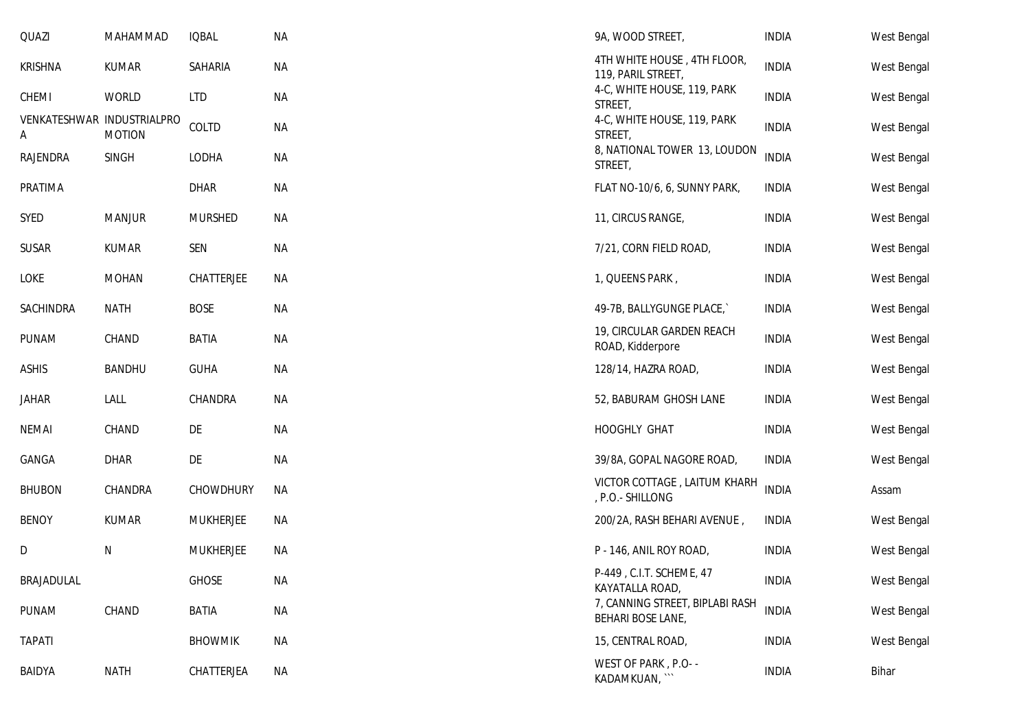| QUAZI                           | MAHAMMAD      | <b>IQBAL</b>     | <b>NA</b> | 9A, WOOD STREET,                                     | <b>INDIA</b> | West Bengal |
|---------------------------------|---------------|------------------|-----------|------------------------------------------------------|--------------|-------------|
| <b>KRISHNA</b>                  | <b>KUMAR</b>  | SAHARIA          | ΝA        | 4TH WHITE HOUSE, 4TH FLOOR,<br>119, PARIL STREET,    | <b>INDIA</b> | West Bengal |
| CHEMI                           | <b>WORLD</b>  | <b>LTD</b>       | <b>NA</b> | 4-C, WHITE HOUSE, 119, PARK<br>STREET,               | <b>INDIA</b> | West Bengal |
| VENKATESHWAR INDUSTRIALPRO<br>Α | <b>MOTION</b> | COLTD            | ΝA        | 4-C, WHITE HOUSE, 119, PARK<br>STREET,               | <b>INDIA</b> | West Bengal |
| RAJENDRA                        | SINGH         | LODHA            | <b>NA</b> | 8, NATIONAL TOWER 13, LOUDON<br>STREET,              | <b>INDIA</b> | West Bengal |
| PRATIMA                         |               | <b>DHAR</b>      | <b>NA</b> | FLAT NO-10/6, 6, SUNNY PARK,                         | <b>INDIA</b> | West Bengal |
| SYED                            | <b>MANJUR</b> | <b>MURSHED</b>   | ΝA        | 11, CIRCUS RANGE,                                    | <b>INDIA</b> | West Bengal |
| <b>SUSAR</b>                    | <b>KUMAR</b>  | SEN              | ΝA        | 7/21, CORN FIELD ROAD,                               | <b>INDIA</b> | West Bengal |
| LOKE                            | <b>MOHAN</b>  | CHATTERJEE       | ΝA        | 1, QUEENS PARK,                                      | <b>INDIA</b> | West Bengal |
| SACHINDRA                       | <b>NATH</b>   | <b>BOSE</b>      | <b>NA</b> | 49-7B, BALLYGUNGE PLACE,                             | <b>INDIA</b> | West Bengal |
| PUNAM                           | CHAND         | <b>BATIA</b>     | ΝA        | 19, CIRCULAR GARDEN REACH<br>ROAD, Kidderpore        | <b>INDIA</b> | West Bengal |
| <b>ASHIS</b>                    | <b>BANDHU</b> | <b>GUHA</b>      | <b>NA</b> | 128/14, HAZRA ROAD,                                  | <b>INDIA</b> | West Bengal |
| JAHAR                           | LALL          | CHANDRA          | <b>NA</b> | 52, BABURAM GHOSH LANE                               | <b>INDIA</b> | West Bengal |
| <b>NEMAI</b>                    | CHAND         | DE               | <b>NA</b> | HOOGHLY GHAT                                         | <b>INDIA</b> | West Bengal |
| GANGA                           | <b>DHAR</b>   | DE               | <b>NA</b> | 39/8A, GOPAL NAGORE ROAD,                            | <b>INDIA</b> | West Bengal |
| <b>BHUBON</b>                   | CHANDRA       | CHOWDHURY        | NА        | VICTOR COTTAGE, LAITUM KHARH<br>, P.O.- SHILLONG     | <b>INDIA</b> | Assam       |
| <b>BENOY</b>                    | <b>KUMAR</b>  | <b>MUKHERJEE</b> | ΝA        | 200/2A, RASH BEHARI AVENUE,                          | <b>INDIA</b> | West Bengal |
| D                               | Ν             | <b>MUKHERJEE</b> | <b>NA</b> | P - 146, ANIL ROY ROAD,                              | <b>INDIA</b> | West Bengal |
| BRAJADULAL                      |               | <b>GHOSE</b>     | ΝA        | P-449, C.I.T. SCHEME, 47<br>KAYATALLA ROAD,          | INDIA        | West Bengal |
| PUNAM                           | CHAND         | BATIA            | <b>NA</b> | 7, CANNING STREET, BIPLABI RASH<br>BEHARI BOSE LANE, | <b>INDIA</b> | West Bengal |
| <b>TAPATI</b>                   |               | <b>BHOWMIK</b>   | <b>NA</b> | 15, CENTRAL ROAD,                                    | <b>INDIA</b> | West Bengal |
| BAIDYA                          | <b>NATH</b>   | CHATTERJEA       | ΝA        | WEST OF PARK, P.O- -<br>KADAMKUAN, ``                | <b>INDIA</b> | Bihar       |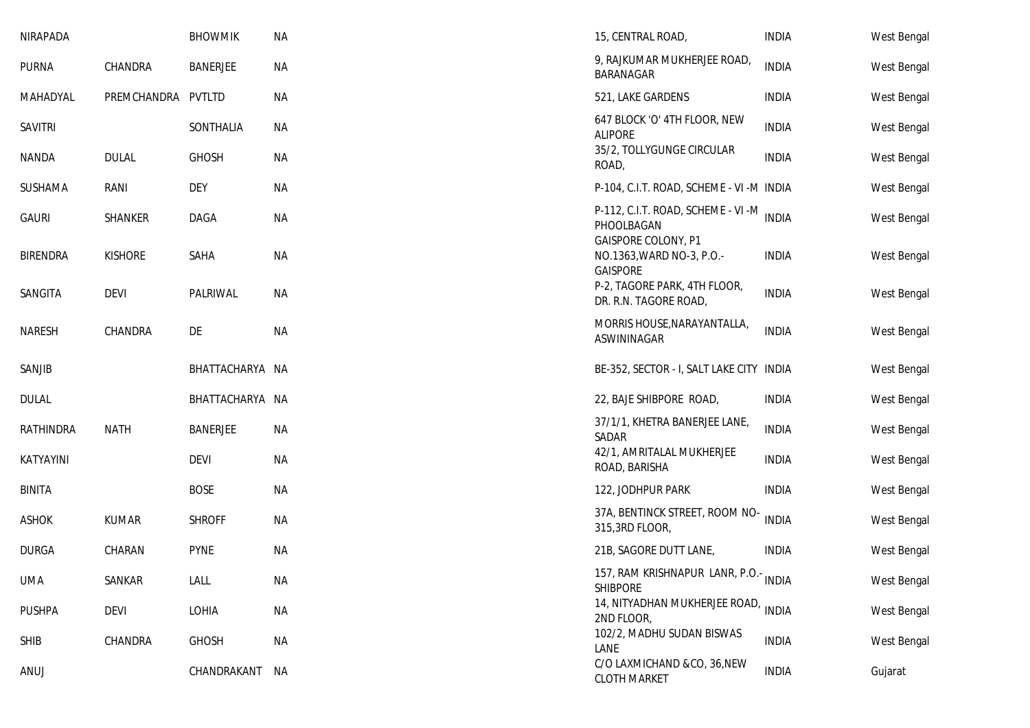| NIRAPADA        |                | <b>BHOWMIK</b>  | <b>NA</b> | 15, CENTRAL ROAD,                                                              | <b>INDIA</b> | West Bengal |
|-----------------|----------------|-----------------|-----------|--------------------------------------------------------------------------------|--------------|-------------|
| <b>PURNA</b>    | CHANDRA        | <b>BANERJEE</b> | <b>NA</b> | 9, RAJKUMAR MUKHERJEE ROAD,<br>BARANAGAR                                       | <b>INDIA</b> | West Bengal |
| MAHADYAL        | PREMCHANDRA    | PVTLTD          | <b>NA</b> | 521, LAKE GARDENS                                                              | <b>INDIA</b> | West Bengal |
| <b>SAVITRI</b>  |                | SONTHALIA       | NА        | 647 BLOCK 'O' 4TH FLOOR, NEW<br><b>ALIPORE</b>                                 | <b>INDIA</b> | West Bengal |
| <b>NANDA</b>    | <b>DULAL</b>   | <b>GHOSH</b>    | <b>NA</b> | 35/2, TOLLYGUNGE CIRCULAR<br>ROAD,                                             | <b>INDIA</b> | West Bengal |
| SUSHAMA         | RANI           | <b>DEY</b>      | <b>NA</b> | P-104, C.I.T. ROAD, SCHEME - VI -M INDIA                                       |              | West Bengal |
| <b>GAURI</b>    | SHANKER        | DAGA            | <b>NA</b> | P-112, C.I.T. ROAD, SCHEME - VI -M<br>PHOOLBAGAN<br><b>GAISPORE COLONY, P1</b> | <b>INDIA</b> | West Bengal |
| <b>BIRENDRA</b> | <b>KISHORE</b> | SAHA            | <b>NA</b> | NO.1363, WARD NO-3, P.O.-<br><b>GAISPORE</b>                                   | <b>INDIA</b> | West Bengal |
| SANGITA         | <b>DEVI</b>    | PALRIWAL        | <b>NA</b> | P-2, TAGORE PARK, 4TH FLOOR,<br>DR. R.N. TAGORE ROAD,                          | <b>INDIA</b> | West Bengal |
| <b>NARESH</b>   | CHANDRA        | DE              | <b>NA</b> | MORRIS HOUSE, NARAYANTALLA,<br>ASWININAGAR                                     | <b>INDIA</b> | West Bengal |
| SANJIB          |                | BHATTACHARYA NA |           | BE-352, SECTOR - I, SALT LAKE CITY INDIA                                       |              | West Bengal |
| <b>DULAL</b>    |                | BHATTACHARYA NA |           | 22, BAJE SHIBPORE ROAD,                                                        | <b>INDIA</b> | West Bengal |
| RATHINDRA       | <b>NATH</b>    | <b>BANERJEE</b> | <b>NA</b> | 37/1/1, KHETRA BANERJEE LANE,<br>SADAR                                         | <b>INDIA</b> | West Bengal |
| KATYAYINI       |                | <b>DEVI</b>     | <b>NA</b> | 42/1, AMRITALAL MUKHERJEE<br>ROAD, BARISHA                                     | <b>INDIA</b> | West Bengal |
| <b>BINITA</b>   |                | <b>BOSE</b>     | <b>NA</b> | 122, JODHPUR PARK                                                              | <b>INDIA</b> | West Bengal |
| <b>ASHOK</b>    | <b>KUMAR</b>   | <b>SHROFF</b>   | <b>NA</b> | 37A, BENTINCK STREET, ROOM NO-<br>315,3RD FLOOR,                               | <b>INDIA</b> | West Bengal |
| <b>DURGA</b>    | CHARAN         | <b>PYNE</b>     | <b>NA</b> | 21B, SAGORE DUTT LANE,                                                         | <b>INDIA</b> | West Bengal |
| UMA             | SANKAR         | LALL            | ΝA        | 157, RAM KRISHNAPUR LANR, P.O.- INDIA<br><b>SHIBPORE</b>                       |              | West Bengal |
| <b>PUSHPA</b>   | <b>DEVI</b>    | LOHIA           | <b>NA</b> | 14, NITYADHAN MUKHERJEE ROAD,<br>2ND FLOOR,                                    | <b>INDIA</b> | West Bengal |
| <b>SHIB</b>     | CHANDRA        | <b>GHOSH</b>    | <b>NA</b> | 102/2, MADHU SUDAN BISWAS<br>LANE                                              | <b>INDIA</b> | West Bengal |
| ANUJ            |                | CHANDRAKANT     | NA        | C/O LAXMICHAND &CO, 36, NEW<br><b>CLOTH MARKET</b>                             | <b>INDIA</b> | Gujarat     |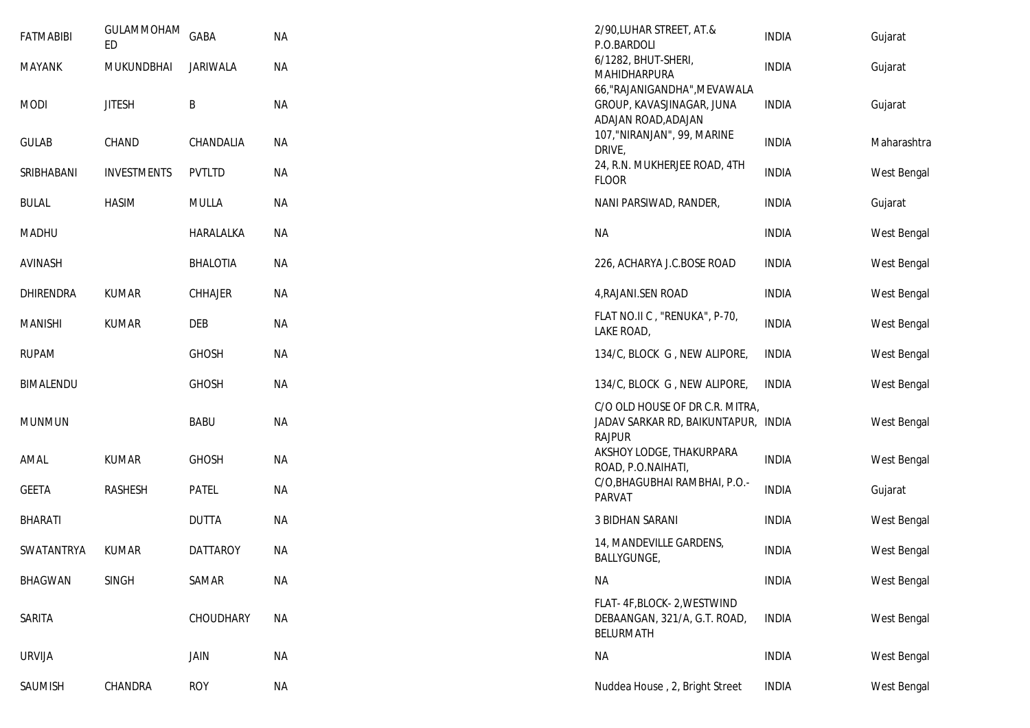| <b>FATMABIBI</b> | GULAMMOHAM<br>ED   | GABA            | <b>NA</b> | 2/90, LUHAR STREET, AT.&<br>P.O.BARDOLI                                                 | <b>INDIA</b> | Gujarat     |
|------------------|--------------------|-----------------|-----------|-----------------------------------------------------------------------------------------|--------------|-------------|
| <b>MAYANK</b>    | MUKUNDBHAI         | <b>JARIWALA</b> | <b>NA</b> | 6/1282, BHUT-SHERI,<br>MAHIDHARPURA                                                     | <b>INDIA</b> | Gujarat     |
| <b>MODI</b>      | <b>JITESH</b>      | B               | <b>NA</b> | 66, "RAJANIGANDHA", MEVAWALA<br>GROUP, KAVASJINAGAR, JUNA<br>ADAJAN ROAD, ADAJAN        | <b>INDIA</b> | Gujarat     |
| <b>GULAB</b>     | CHAND              | CHANDALIA       | NА        | 107, "NIRANJAN", 99, MARINE<br>DRIVE,                                                   | <b>INDIA</b> | Maharashtra |
| SRIBHABANI       | <b>INVESTMENTS</b> | <b>PVTLTD</b>   | ΝA        | 24, R.N. MUKHERJEE ROAD, 4TH<br><b>FLOOR</b>                                            | <b>INDIA</b> | West Bengal |
| <b>BULAL</b>     | <b>HASIM</b>       | <b>MULLA</b>    | <b>NA</b> | NANI PARSIWAD, RANDER,                                                                  | <b>INDIA</b> | Gujarat     |
| <b>MADHU</b>     |                    | HARALALKA       | ΝA        | <b>NA</b>                                                                               | <b>INDIA</b> | West Bengal |
| AVINASH          |                    | <b>BHALOTIA</b> | <b>NA</b> | 226, ACHARYA J.C.BOSE ROAD                                                              | <b>INDIA</b> | West Bengal |
| DHIRENDRA        | <b>KUMAR</b>       | CHHAJER         | <b>NA</b> | 4, RAJANI.SEN ROAD                                                                      | <b>INDIA</b> | West Bengal |
| <b>MANISHI</b>   | <b>KUMAR</b>       | <b>DEB</b>      | <b>NA</b> | FLAT NO.II C, "RENUKA", P-70,<br>LAKE ROAD,                                             | <b>INDIA</b> | West Bengal |
| <b>RUPAM</b>     |                    | <b>GHOSH</b>    | ΝA        | 134/C, BLOCK G, NEW ALIPORE,                                                            | <b>INDIA</b> | West Bengal |
| BIMALENDU        |                    | <b>GHOSH</b>    | <b>NA</b> | 134/C, BLOCK G, NEW ALIPORE,                                                            | <b>INDIA</b> | West Bengal |
| <b>MUNMUN</b>    |                    | <b>BABU</b>     | <b>NA</b> | C/O OLD HOUSE OF DR C.R. MITRA,<br>JADAV SARKAR RD, BAIKUNTAPUR, INDIA<br><b>RAJPUR</b> |              | West Bengal |
| AMAL             | <b>KUMAR</b>       | <b>GHOSH</b>    | <b>NA</b> | AKSHOY LODGE, THAKURPARA<br>ROAD, P.O.NAIHATI,                                          | <b>INDIA</b> | West Bengal |
| <b>GEETA</b>     | RASHESH            | <b>PATEL</b>    | <b>NA</b> | C/O, BHAGUBHAI RAMBHAI, P.O.-<br>PARVAT                                                 | <b>INDIA</b> | Gujarat     |
| <b>BHARATI</b>   |                    | <b>DUTTA</b>    | <b>NA</b> | <b>3 BIDHAN SARANI</b>                                                                  | <b>INDIA</b> | West Bengal |
| SWATANTRYA       | <b>KUMAR</b>       | <b>DATTAROY</b> | <b>NA</b> | 14, MANDEVILLE GARDENS,<br>BALLYGUNGE,                                                  | <b>INDIA</b> | West Bengal |
| <b>BHAGWAN</b>   | <b>SINGH</b>       | SAMAR           | <b>NA</b> | <b>NA</b>                                                                               | <b>INDIA</b> | West Bengal |
| SARITA           |                    | CHOUDHARY       | <b>NA</b> | FLAT-4F, BLOCK-2, WESTWIND<br>DEBAANGAN, 321/A, G.T. ROAD,<br><b>BELURMATH</b>          | <b>INDIA</b> | West Bengal |
| <b>URVIJA</b>    |                    | JAIN            | <b>NA</b> | <b>NA</b>                                                                               | <b>INDIA</b> | West Bengal |
| SAUMISH          | CHANDRA            | <b>ROY</b>      | <b>NA</b> | Nuddea House, 2, Bright Street                                                          | <b>INDIA</b> | West Bengal |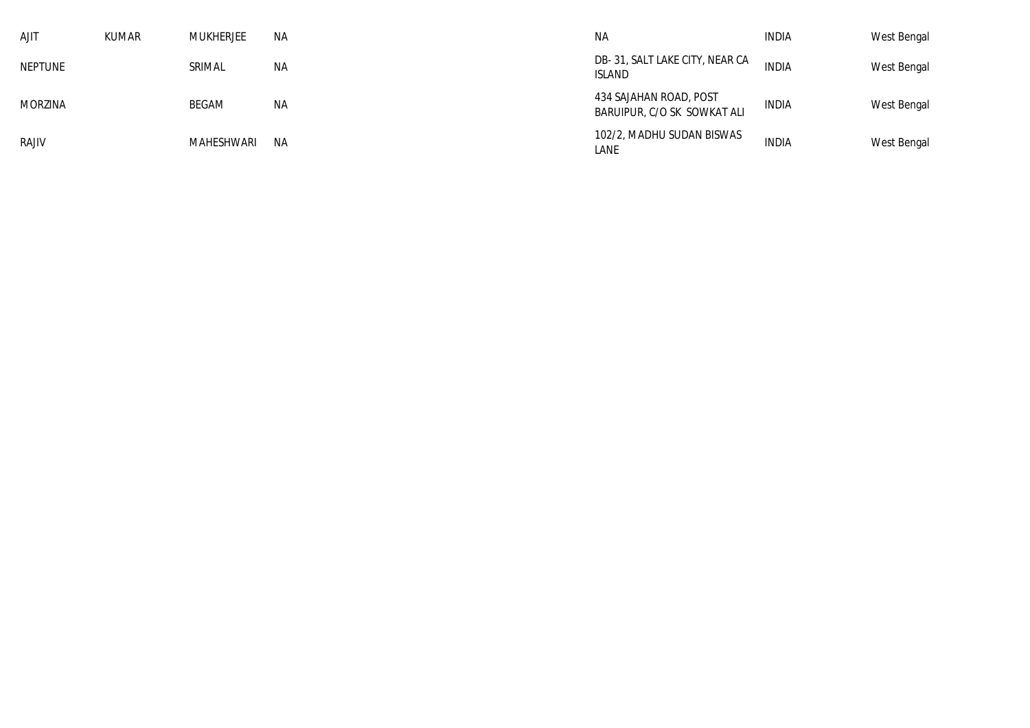| <b>AJIT</b>    | <b>KUMAR</b> | MUKHERJEE     | ΝA | <b>NA</b>                                             | INDIA        | West Bengal |
|----------------|--------------|---------------|----|-------------------------------------------------------|--------------|-------------|
| <b>NEPTUNE</b> |              | <b>SRIMAL</b> | ΝA | DB-31, SALT LAKE CITY, NEAR CA<br>ISLAND              | <b>INDIA</b> | West Bengal |
| <b>MORZINA</b> |              | BEGAM         | ΝA | 434 SAJAHAN ROAD, POST<br>BARUIPUR, C/O SK SOWKAT ALI | INDIA        | West Bengal |
| <b>RAJIV</b>   |              | MAHESHWARI    | NA | 102/2, MADHU SUDAN BISWAS<br>LANE                     | INDIA        | West Bengal |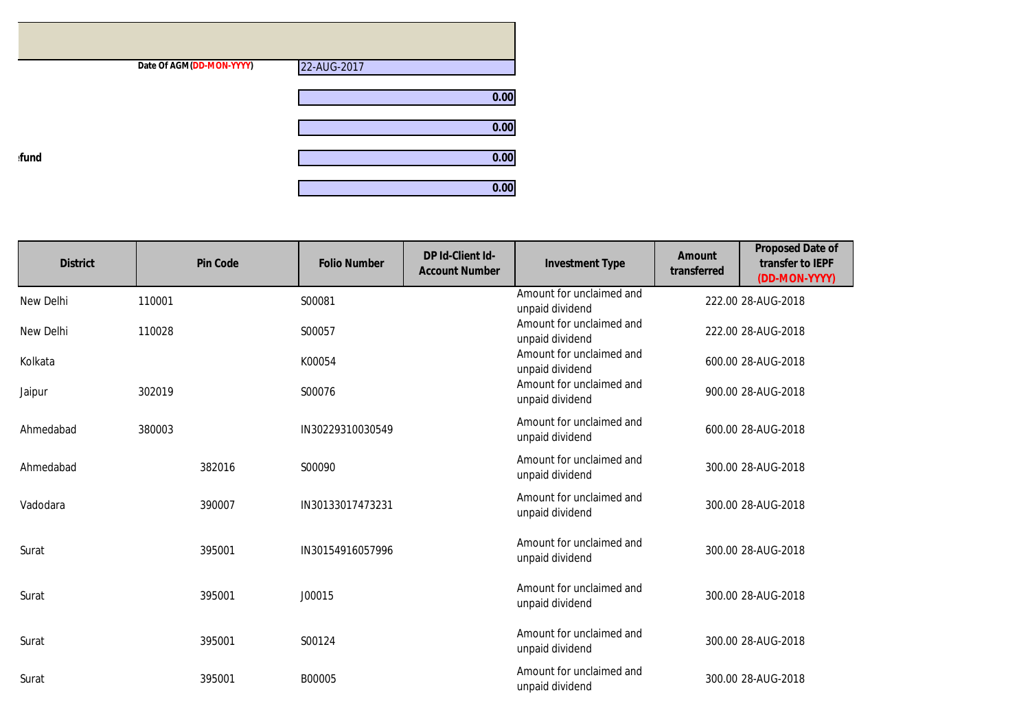|      | Date Of AGM(DD-MON-YYYY) | 22-AUG-2017 |
|------|--------------------------|-------------|
|      |                          | 0.00        |
|      |                          | 0.00        |
| fund |                          | 0.00        |
|      |                          | 0.00        |

| <b>District</b> | <b>Pin Code</b> | <b>Folio Number</b> | DP Id-Client Id-<br><b>Account Number</b> | <b>Investment Type</b>                      | <b>Amount</b><br>transferred | <b>Proposed Date of</b><br>transfer to IEPF<br>(DD-MON-YYYY) |
|-----------------|-----------------|---------------------|-------------------------------------------|---------------------------------------------|------------------------------|--------------------------------------------------------------|
| New Delhi       | 110001          | S00081              |                                           | Amount for unclaimed and<br>unpaid dividend |                              | 222.00 28-AUG-2018                                           |
| New Delhi       | 110028          | S00057              |                                           | Amount for unclaimed and<br>unpaid dividend |                              | 222.00 28-AUG-2018                                           |
| Kolkata         |                 | K00054              |                                           | Amount for unclaimed and<br>unpaid dividend |                              | 600.00 28-AUG-2018                                           |
| Jaipur          | 302019          | S00076              |                                           | Amount for unclaimed and<br>unpaid dividend |                              | 900.00 28-AUG-2018                                           |
| Ahmedabad       | 380003          | IN30229310030549    |                                           | Amount for unclaimed and<br>unpaid dividend |                              | 600.00 28-AUG-2018                                           |
| Ahmedabad       | 382016          | S00090              |                                           | Amount for unclaimed and<br>unpaid dividend |                              | 300.00 28-AUG-2018                                           |
| Vadodara        | 390007          | IN30133017473231    |                                           | Amount for unclaimed and<br>unpaid dividend |                              | 300.00 28-AUG-2018                                           |
| Surat           | 395001          | IN30154916057996    |                                           | Amount for unclaimed and<br>unpaid dividend |                              | 300.00 28-AUG-2018                                           |
| Surat           | 395001          | J00015              |                                           | Amount for unclaimed and<br>unpaid dividend |                              | 300.00 28-AUG-2018                                           |
| Surat           | 395001          | S00124              |                                           | Amount for unclaimed and<br>unpaid dividend |                              | 300.00 28-AUG-2018                                           |
| Surat           | 395001          | B00005              |                                           | Amount for unclaimed and<br>unpaid dividend |                              | 300.00 28-AUG-2018                                           |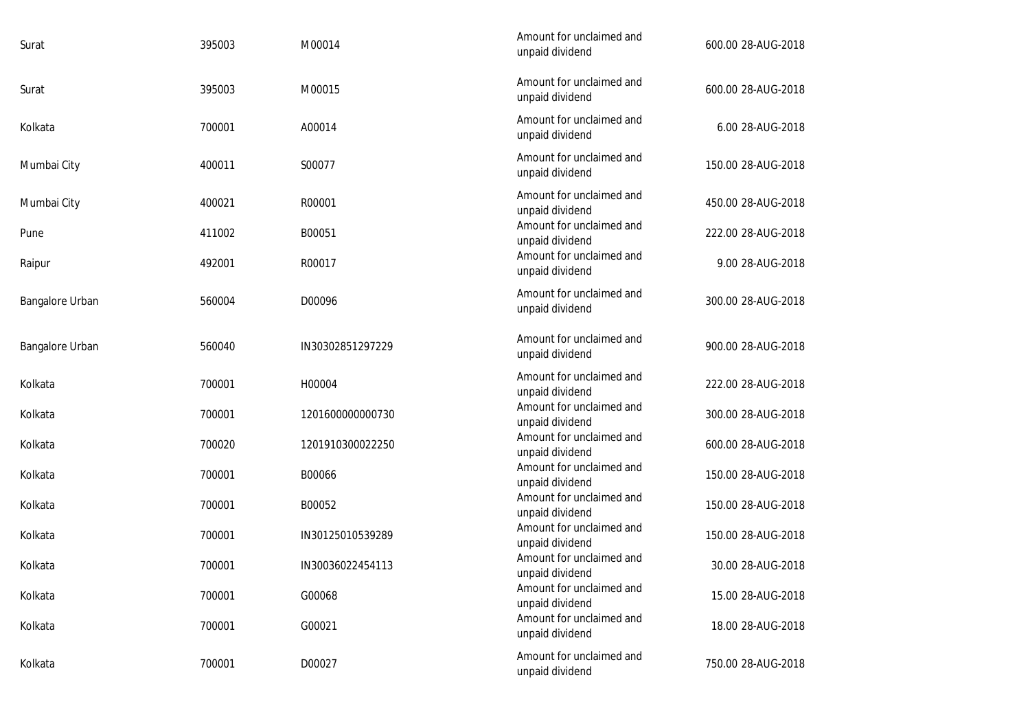| Surat           | 395003 | M00014           | Amount for unclaimed and<br>unpaid dividend | 600.00 28-AUG-2018 |
|-----------------|--------|------------------|---------------------------------------------|--------------------|
| Surat           | 395003 | M00015           | Amount for unclaimed and<br>unpaid dividend | 600.00 28-AUG-2018 |
| Kolkata         | 700001 | A00014           | Amount for unclaimed and<br>unpaid dividend | 6.00 28-AUG-2018   |
| Mumbai City     | 400011 | S00077           | Amount for unclaimed and<br>unpaid dividend | 150.00 28-AUG-2018 |
| Mumbai City     | 400021 | R00001           | Amount for unclaimed and<br>unpaid dividend | 450.00 28-AUG-2018 |
| Pune            | 411002 | B00051           | Amount for unclaimed and<br>unpaid dividend | 222.00 28-AUG-2018 |
| Raipur          | 492001 | R00017           | Amount for unclaimed and<br>unpaid dividend | 9.00 28-AUG-2018   |
| Bangalore Urban | 560004 | D00096           | Amount for unclaimed and<br>unpaid dividend | 300.00 28-AUG-2018 |
| Bangalore Urban | 560040 | IN30302851297229 | Amount for unclaimed and<br>unpaid dividend | 900.00 28-AUG-2018 |
| Kolkata         | 700001 | H00004           | Amount for unclaimed and<br>unpaid dividend | 222.00 28-AUG-2018 |
| Kolkata         | 700001 | 1201600000000730 | Amount for unclaimed and<br>unpaid dividend | 300.00 28-AUG-2018 |
| Kolkata         | 700020 | 1201910300022250 | Amount for unclaimed and<br>unpaid dividend | 600.00 28-AUG-2018 |
| Kolkata         | 700001 | B00066           | Amount for unclaimed and<br>unpaid dividend | 150.00 28-AUG-2018 |
| Kolkata         | 700001 | B00052           | Amount for unclaimed and<br>unpaid dividend | 150.00 28-AUG-2018 |
| Kolkata         | 700001 | IN30125010539289 | Amount for unclaimed and<br>unpaid dividend | 150.00 28-AUG-2018 |
| Kolkata         | 700001 | IN30036022454113 | Amount for unclaimed and<br>unpaid dividend | 30.00 28-AUG-2018  |
| Kolkata         | 700001 | G00068           | Amount for unclaimed and<br>unpaid dividend | 15.00 28-AUG-2018  |
| Kolkata         | 700001 | G00021           | Amount for unclaimed and<br>unpaid dividend | 18.00 28-AUG-2018  |
| Kolkata         | 700001 | D00027           | Amount for unclaimed and<br>unpaid dividend | 750.00 28-AUG-2018 |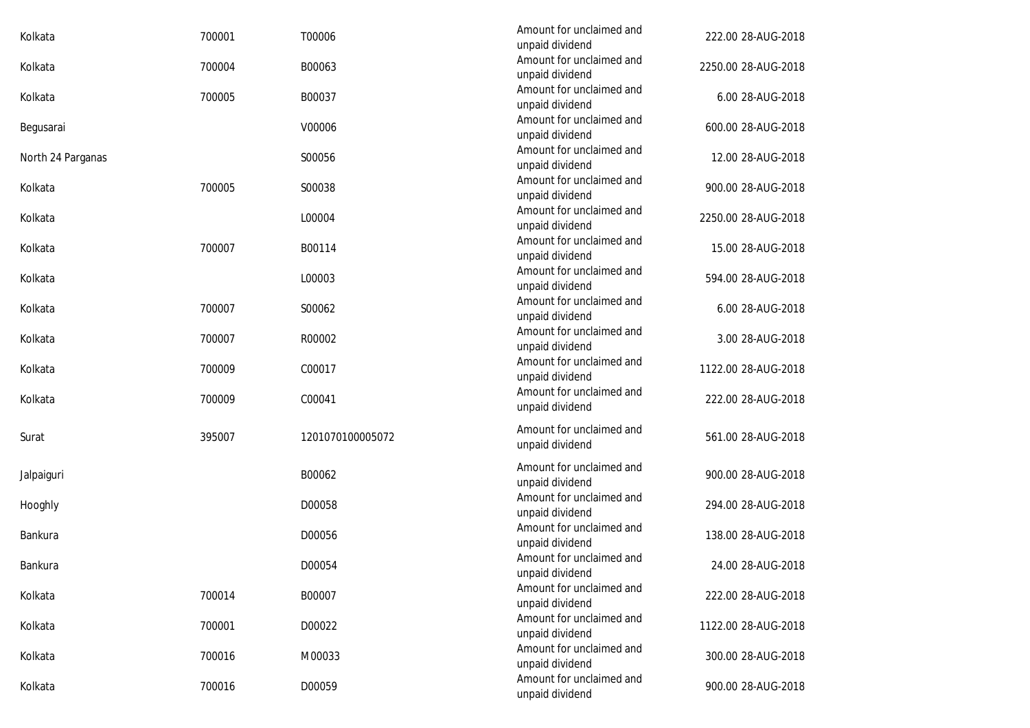| 700001 | T00006           | Amount for unclaimed and                    | 222.00 28-AUG-2018                                                       |
|--------|------------------|---------------------------------------------|--------------------------------------------------------------------------|
| 700004 | B00063           | Amount for unclaimed and                    | 2250.00 28-AUG-2018                                                      |
| 700005 | B00037           | Amount for unclaimed and                    | 6.00 28-AUG-2018                                                         |
|        | V00006           | Amount for unclaimed and                    | 600.00 28-AUG-2018                                                       |
|        | S00056           | Amount for unclaimed and<br>unpaid dividend | 12.00 28-AUG-2018                                                        |
| 700005 | S00038           | Amount for unclaimed and<br>unpaid dividend | 900.00 28-AUG-2018                                                       |
|        | L00004           | Amount for unclaimed and<br>unpaid dividend | 2250.00 28-AUG-2018                                                      |
| 700007 | B00114           | Amount for unclaimed and<br>unpaid dividend | 15.00 28-AUG-2018                                                        |
|        | L00003           | Amount for unclaimed and<br>unpaid dividend | 594.00 28-AUG-2018                                                       |
| 700007 | S00062           | Amount for unclaimed and<br>unpaid dividend | 6.00 28-AUG-2018                                                         |
| 700007 | R00002           | Amount for unclaimed and<br>unpaid dividend | 3.00 28-AUG-2018                                                         |
| 700009 | C00017           | Amount for unclaimed and<br>unpaid dividend | 1122.00 28-AUG-2018                                                      |
| 700009 | C00041           | Amount for unclaimed and<br>unpaid dividend | 222.00 28-AUG-2018                                                       |
| 395007 | 1201070100005072 | Amount for unclaimed and<br>unpaid dividend | 561.00 28-AUG-2018                                                       |
|        | B00062           | Amount for unclaimed and<br>unpaid dividend | 900.00 28-AUG-2018                                                       |
|        | D00058           | Amount for unclaimed and<br>unpaid dividend | 294.00 28-AUG-2018                                                       |
|        | D00056           | Amount for unclaimed and<br>unpaid dividend | 138.00 28-AUG-2018                                                       |
|        | D00054           | Amount for unclaimed and<br>unpaid dividend | 24.00 28-AUG-2018                                                        |
| 700014 | B00007           | Amount for unclaimed and<br>unpaid dividend | 222.00 28-AUG-2018                                                       |
| 700001 | D00022           | Amount for unclaimed and<br>unpaid dividend | 1122.00 28-AUG-2018                                                      |
| 700016 | M00033           | Amount for unclaimed and<br>unpaid dividend | 300.00 28-AUG-2018                                                       |
| 700016 | D00059           | Amount for unclaimed and<br>unpaid dividend | 900.00 28-AUG-2018                                                       |
|        |                  |                                             | unpaid dividend<br>unpaid dividend<br>unpaid dividend<br>unpaid dividend |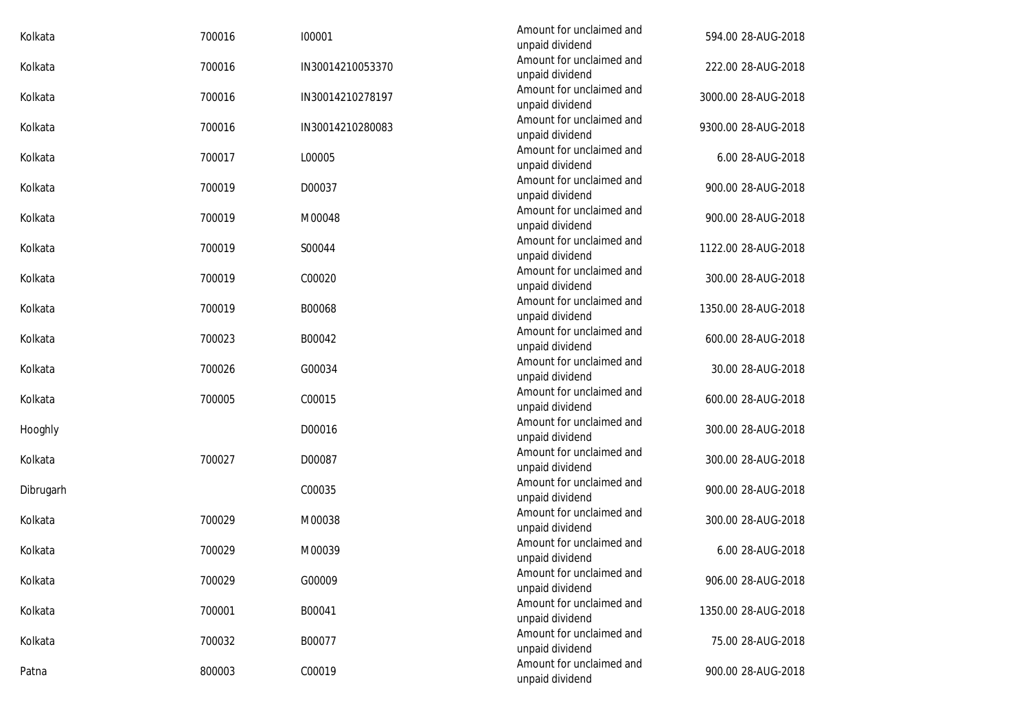| Kolkata   | 700016 | 100001           | Amount for unclaimed and<br>unpaid dividend | 594.00 28-AUG-2018  |
|-----------|--------|------------------|---------------------------------------------|---------------------|
| Kolkata   | 700016 | IN30014210053370 | Amount for unclaimed and<br>unpaid dividend | 222.00 28-AUG-2018  |
| Kolkata   | 700016 | IN30014210278197 | Amount for unclaimed and<br>unpaid dividend | 3000.00 28-AUG-2018 |
| Kolkata   | 700016 | IN30014210280083 | Amount for unclaimed and<br>unpaid dividend | 9300.00 28-AUG-2018 |
| Kolkata   | 700017 | L00005           | Amount for unclaimed and<br>unpaid dividend | 6.00 28-AUG-2018    |
| Kolkata   | 700019 | D00037           | Amount for unclaimed and<br>unpaid dividend | 900.00 28-AUG-2018  |
| Kolkata   | 700019 | M00048           | Amount for unclaimed and<br>unpaid dividend | 900.00 28-AUG-2018  |
| Kolkata   | 700019 | S00044           | Amount for unclaimed and<br>unpaid dividend | 1122.00 28-AUG-2018 |
| Kolkata   | 700019 | C00020           | Amount for unclaimed and<br>unpaid dividend | 300.00 28-AUG-2018  |
| Kolkata   | 700019 | B00068           | Amount for unclaimed and<br>unpaid dividend | 1350.00 28-AUG-2018 |
| Kolkata   | 700023 | B00042           | Amount for unclaimed and<br>unpaid dividend | 600.00 28-AUG-2018  |
| Kolkata   | 700026 | G00034           | Amount for unclaimed and<br>unpaid dividend | 30.00 28-AUG-2018   |
| Kolkata   | 700005 | C00015           | Amount for unclaimed and<br>unpaid dividend | 600.00 28-AUG-2018  |
| Hooghly   |        | D00016           | Amount for unclaimed and<br>unpaid dividend | 300.00 28-AUG-2018  |
| Kolkata   | 700027 | D00087           | Amount for unclaimed and<br>unpaid dividend | 300.00 28-AUG-2018  |
| Dibrugarh |        | C00035           | Amount for unclaimed and<br>unpaid dividend | 900.00 28-AUG-2018  |
| Kolkata   | 700029 | M00038           | Amount for unclaimed and<br>unpaid dividend | 300.00 28-AUG-2018  |
| Kolkata   | 700029 | M00039           | Amount for unclaimed and<br>unpaid dividend | 6.00 28-AUG-2018    |
| Kolkata   | 700029 | G00009           | Amount for unclaimed and<br>unpaid dividend | 906.00 28-AUG-2018  |
| Kolkata   | 700001 | B00041           | Amount for unclaimed and<br>unpaid dividend | 1350.00 28-AUG-2018 |
| Kolkata   | 700032 | B00077           | Amount for unclaimed and<br>unpaid dividend | 75.00 28-AUG-2018   |
| Patna     | 800003 | C00019           | Amount for unclaimed and<br>unpaid dividend | 900.00 28-AUG-2018  |
|           |        |                  |                                             |                     |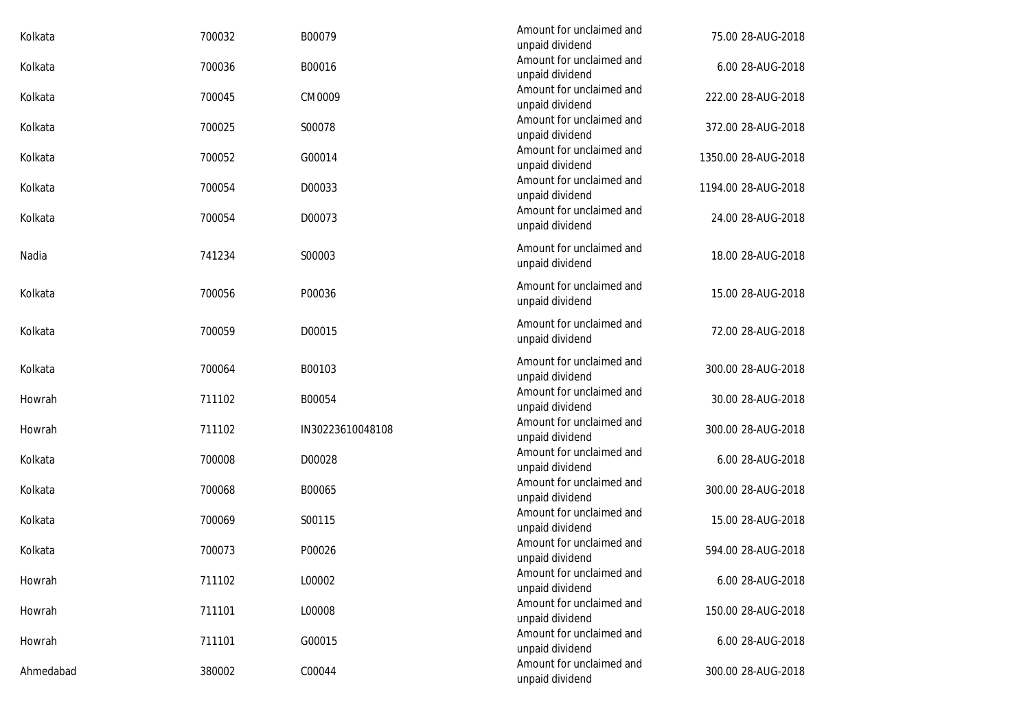| Kolkata   | 700032 | B00079           | Amount for unclaimed and<br>unpaid dividend | 75.00 28-AUG-2018   |
|-----------|--------|------------------|---------------------------------------------|---------------------|
| Kolkata   | 700036 | B00016           | Amount for unclaimed and<br>unpaid dividend | 6.00 28-AUG-2018    |
| Kolkata   | 700045 | CM0009           | Amount for unclaimed and<br>unpaid dividend | 222.00 28-AUG-2018  |
| Kolkata   | 700025 | S00078           | Amount for unclaimed and<br>unpaid dividend | 372.00 28-AUG-2018  |
| Kolkata   | 700052 | G00014           | Amount for unclaimed and<br>unpaid dividend | 1350.00 28-AUG-2018 |
| Kolkata   | 700054 | D00033           | Amount for unclaimed and<br>unpaid dividend | 1194.00 28-AUG-2018 |
| Kolkata   | 700054 | D00073           | Amount for unclaimed and<br>unpaid dividend | 24.00 28-AUG-2018   |
| Nadia     | 741234 | S00003           | Amount for unclaimed and<br>unpaid dividend | 18.00 28-AUG-2018   |
| Kolkata   | 700056 | P00036           | Amount for unclaimed and<br>unpaid dividend | 15.00 28-AUG-2018   |
| Kolkata   | 700059 | D00015           | Amount for unclaimed and<br>unpaid dividend | 72.00 28-AUG-2018   |
| Kolkata   | 700064 | B00103           | Amount for unclaimed and<br>unpaid dividend | 300.00 28-AUG-2018  |
| Howrah    | 711102 | B00054           | Amount for unclaimed and<br>unpaid dividend | 30.00 28-AUG-2018   |
| Howrah    | 711102 | IN30223610048108 | Amount for unclaimed and<br>unpaid dividend | 300.00 28-AUG-2018  |
| Kolkata   | 700008 | D00028           | Amount for unclaimed and<br>unpaid dividend | 6.00 28-AUG-2018    |
| Kolkata   | 700068 | B00065           | Amount for unclaimed and<br>unpaid dividend | 300.00 28-AUG-2018  |
| Kolkata   | 700069 | S00115           | Amount for unclaimed and<br>unpaid dividend | 15.00 28-AUG-2018   |
| Kolkata   | 700073 | P00026           | Amount for unclaimed and<br>unpaid dividend | 594.00 28-AUG-2018  |
| Howrah    | 711102 | L00002           | Amount for unclaimed and<br>unpaid dividend | 6.00 28-AUG-2018    |
| Howrah    | 711101 | L00008           | Amount for unclaimed and<br>unpaid dividend | 150.00 28-AUG-2018  |
| Howrah    | 711101 | G00015           | Amount for unclaimed and<br>unpaid dividend | 6.00 28-AUG-2018    |
| Ahmedabad | 380002 | C00044           | Amount for unclaimed and<br>unpaid dividend | 300.00 28-AUG-2018  |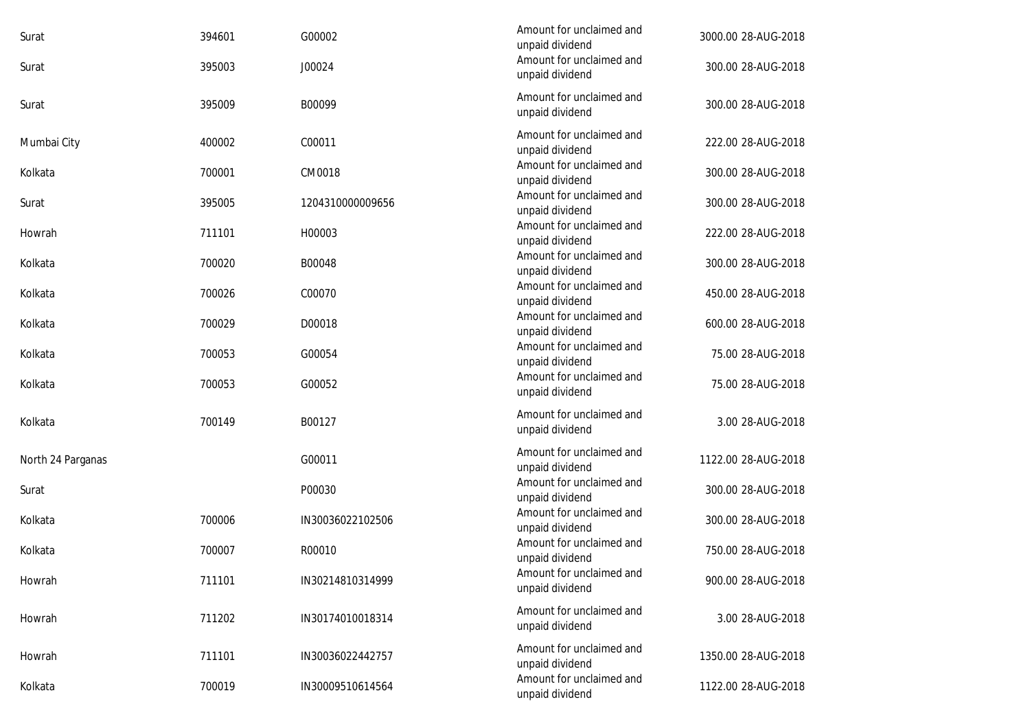| Surat             | 394601 | G00002           | Amount for unclaimed and<br>unpaid dividend | 3000.00 28-AUG-2018 |
|-------------------|--------|------------------|---------------------------------------------|---------------------|
| Surat             | 395003 | J00024           | Amount for unclaimed and<br>unpaid dividend | 300.00 28-AUG-2018  |
| Surat             | 395009 | B00099           | Amount for unclaimed and<br>unpaid dividend | 300.00 28-AUG-2018  |
| Mumbai City       | 400002 | C00011           | Amount for unclaimed and<br>unpaid dividend | 222.00 28-AUG-2018  |
| Kolkata           | 700001 | CM0018           | Amount for unclaimed and<br>unpaid dividend | 300.00 28-AUG-2018  |
| Surat             | 395005 | 1204310000009656 | Amount for unclaimed and<br>unpaid dividend | 300.00 28-AUG-2018  |
| Howrah            | 711101 | H00003           | Amount for unclaimed and<br>unpaid dividend | 222.00 28-AUG-2018  |
| Kolkata           | 700020 | B00048           | Amount for unclaimed and<br>unpaid dividend | 300.00 28-AUG-2018  |
| Kolkata           | 700026 | C00070           | Amount for unclaimed and<br>unpaid dividend | 450.00 28-AUG-2018  |
| Kolkata           | 700029 | D00018           | Amount for unclaimed and<br>unpaid dividend | 600.00 28-AUG-2018  |
| Kolkata           | 700053 | G00054           | Amount for unclaimed and<br>unpaid dividend | 75.00 28-AUG-2018   |
| Kolkata           | 700053 | G00052           | Amount for unclaimed and<br>unpaid dividend | 75.00 28-AUG-2018   |
| Kolkata           | 700149 | B00127           | Amount for unclaimed and<br>unpaid dividend | 3.00 28-AUG-2018    |
| North 24 Parganas |        | G00011           | Amount for unclaimed and<br>unpaid dividend | 1122.00 28-AUG-2018 |
| Surat             |        | P00030           | Amount for unclaimed and<br>unpaid dividend | 300.00 28-AUG-2018  |
| Kolkata           | 700006 | IN30036022102506 | Amount for unclaimed and<br>unpaid dividend | 300.00 28-AUG-2018  |
| Kolkata           | 700007 | R00010           | Amount for unclaimed and<br>unpaid dividend | 750.00 28-AUG-2018  |
| Howrah            | 711101 | IN30214810314999 | Amount for unclaimed and<br>unpaid dividend | 900.00 28-AUG-2018  |
| Howrah            | 711202 | IN30174010018314 | Amount for unclaimed and<br>unpaid dividend | 3.00 28-AUG-2018    |
| Howrah            | 711101 | IN30036022442757 | Amount for unclaimed and<br>unpaid dividend | 1350.00 28-AUG-2018 |
| Kolkata           | 700019 | IN30009510614564 | Amount for unclaimed and<br>unpaid dividend | 1122.00 28-AUG-2018 |
|                   |        |                  |                                             |                     |